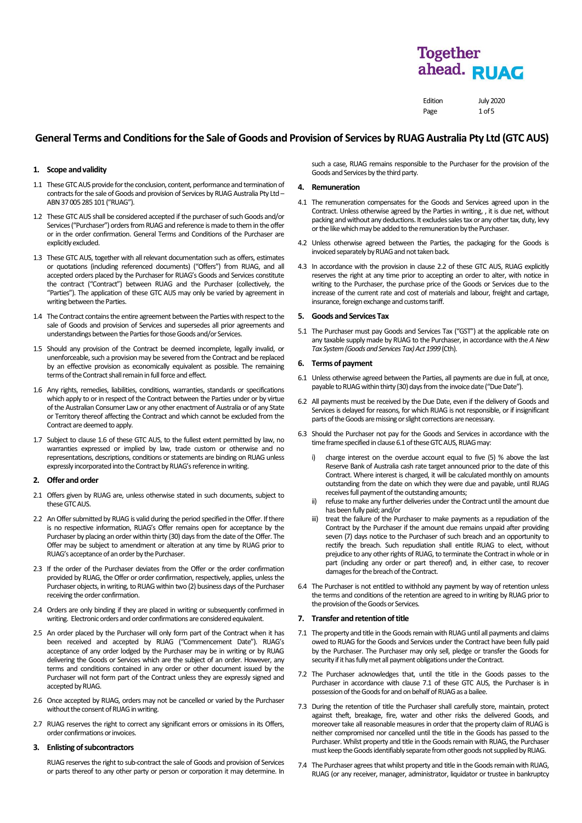Edition July 2020 Page 1 of 5

# **General Terms and Conditionsfor the Sale of Goods and Provision of Services by RUAGAustralia Pty Ltd (GTC AUS)**

# **1. Scope and validity**

- 1.1 TheseGTC AUS providefor the conclusion, content, performance and termination of contracts for the sale of Goods and provision of Services by RUAG Australia Pty Ltd -ABN 37 005 285 101 ("RUAG").
- 1.2 These GTC AUS shall be considered accepted if the purchaser of such Goods and/or Services ("Purchaser") orders from RUAG and reference is made to them in the offer or in the order confirmation. General Terms and Conditions of the Purchaser are explicitly excluded.
- 1.3 These GTC AUS, together with all relevant documentation such as offers, estimates or quotations (including referenced documents) ("Offers") from RUAG, and all accepted orders placed by the Purchaser for RUAG's Goods and Services constitute the contract ("Contract") between RUAG and the Purchaser (collectively, the "Parties"). The application of these GTC AUS may only be varied by agreement in writing between the Parties.
- 1.4 The Contract contains the entire agreement between the Parties with respect to the sale of Goods and provision of Services and supersedes all prior agreements and understandings between the Parties for those Goods and/or Services.
- 1.5 Should any provision of the Contract be deemed incomplete, legally invalid, or unenforceable, such a provision may be severed from the Contract and be replaced by an effective provision as economically equivalent as possible. The remaining terms of the Contract shall remain in full force and effect.
- 1.6 Any rights, remedies, liabilities, conditions, warranties, standards or specifications which apply to or in respect of the Contract between the Parties under or by virtue of the Australian Consumer Law or any other enactment of Australia or of any State or Territory thereof affecting the Contract and which cannot be excluded from the Contract are deemed to apply.
- 1.7 Subject to clause 1.6 of these GTC AUS, to the fullest extent permitted by law, no warranties expressed or implied by law, trade custom or otherwise and no representations, descriptions, conditions or statements are binding on RUAG unless expressly incorporated into the Contract by RUAG's reference in writing.

# **2. Offer and order**

- 2.1 Offers given by RUAG are, unless otherwise stated in such documents, subject to these GTC AUS.
- 2.2 An Offer submitted by RUAG is valid during the period specified in the Offer. If there is no respective information, RUAG's Offer remains open for acceptance by the Purchaser by placing an order within thirty (30) days from the date of the Offer. The Offer may be subject to amendment or alteration at any time by RUAG prior to RUAG's acceptance of an order by the Purchaser.
- 2.3 If the order of the Purchaser deviates from the Offer or the order confirmation provided by RUAG, the Offer or order confirmation, respectively, applies, unless the Purchaser objects, in writing, to RUAG within two (2) business days of the Purchaser receiving the order confirmation.
- 2.4 Orders are only binding if they are placed in writing or subsequently confirmed in writing. Electronic orders and order confirmations are considered equivalent.
- 2.5 An order placed by the Purchaser will only form part of the Contract when it has been received and accepted by RUAG ("Commencement Date"). RUAG's acceptance of any order lodged by the Purchaser may be in writing or by RUAG delivering the Goods or Services which are the subject of an order. However, any terms and conditions contained in any order or other document issued by the Purchaser will not form part of the Contract unless they are expressly signed and accepted by RUAG.
- 2.6 Once accepted by RUAG, orders may not be cancelled or varied by the Purchaser without the consent of RUAG in writing.
- 2.7 RUAG reserves the right to correct any significant errors or omissions in its Offers, order confirmations or invoices.

#### **3. Enlisting of subcontractors**

RUAG reserves the right to sub-contract the sale of Goods and provision of Services or parts thereof to any other party or person or corporation it may determine. In such a case, RUAG remains responsible to the Purchaser for the provision of the Goods and Services by the third party.

# **4. Remuneration**

- 4.1 The remuneration compensates for the Goods and Services agreed upon in the Contract. Unless otherwise agreed by the Parties in writing, , it is due net, without packing and without any deductions. It excludes sales tax or any other tax, duty, levy or the like whichmay be added to the remuneration by the Purchaser.
- 4.2 Unless otherwise agreed between the Parties, the packaging for the Goods is invoiced separately by RUAG and not taken back.
- 4.3 In accordance with the provision in clause 2.2 of these GTC AUS, RUAG explicitly reserves the right at any time prior to accepting an order to alter, with notice in writing to the Purchaser, the purchase price of the Goods or Services due to the increase of the current rate and cost of materials and labour, freight and cartage, insurance, foreign exchange and customs tariff.

# **5. Goods and Services Tax**

5.1 The Purchaser must pay Goods and Services Tax ("GST") at the applicable rate on any taxable supply made by RUAG to the Purchaser, in accordance with the *A New Tax System (Goods and Services Tax) Act 1999* (Cth).

# **6. Terms of payment**

- 6.1 Unless otherwise agreed between the Parties, all payments are due in full, at once, payable to RUAG within thirty (30) days from the invoice date ("Due Date").
- 6.2 All payments must be received by the Due Date, even if the delivery of Goods and Services is delayed for reasons, for which RUAG is not responsible, or if insignificant parts of the Goods are missing or slight corrections are necessary.
- 6.3 Should the Purchaser not pay for the Goods and Services in accordance with the time frame specified in clause 6.1 of these GTC AUS, RUAG may
	- charge interest on the overdue account equal to five (5) % above the last Reserve Bank of Australia cash rate target announced prior to the date of this Contract. Where interest is charged, it will be calculated monthly on amounts outstanding from the date on which they were due and payable, until RUAG receives full payment of the outstanding amounts;
	- refuse to make any further deliveries under the Contract until the amount due has been fully paid; and/or
	- iii) treat the failure of the Purchaser to make payments as a repudiation of the Contract by the Purchaser if the amount due remains unpaid after providing seven (7) days notice to the Purchaser of such breach and an opportunity to rectify the breach. Such repudiation shall entitle RUAG to elect, without prejudice to any other rights of RUAG, to terminate the Contract in whole or in part (including any order or part thereof) and, in either case, to recover damages for the breach of the Contract.
- 6.4 The Purchaser is not entitled to withhold any payment by way of retention unless the terms and conditions of the retention are agreed to in writing by RUAG prior to the provision of the Goods or Services.

# **7. Transfer and retention of title**

- <span id="page-0-0"></span>7.1 The property and title in the Goods remain with RUAG until all payments and claims owed to RUAG for the Goods and Services under the Contract have been fully paid by the Purchaser. The Purchaser may only sell, pledge or transfer the Goods for security if it has fully met all payment obligations under the Contract.
- 7.2 The Purchaser acknowledges that, until the title in the Goods passes to the Purchaser in accordance with clause [7.1](#page-0-0) of these GTC AUS, the Purchaser is in possession of the Goods for and on behalf of RUAG as a bailee.
- 7.3 During the retention of title the Purchaser shall carefully store, maintain, protect against theft, breakage, fire, water and other risks the delivered Goods, and moreover take all reasonable measures in order that the property claim of RUAG is neither compromised nor cancelled until the title in the Goods has passed to the Purchaser. Whilst property and title in the Goods remain with RUAG, the Purchaser must keep the Goods identifiably separate from other goods not supplied by RUAG.
- 7.4 The Purchaser agrees that whilst property and title in the Goods remain with RUAG, RUAG (or any receiver, manager, administrator, liquidator or trustee in bankruptcy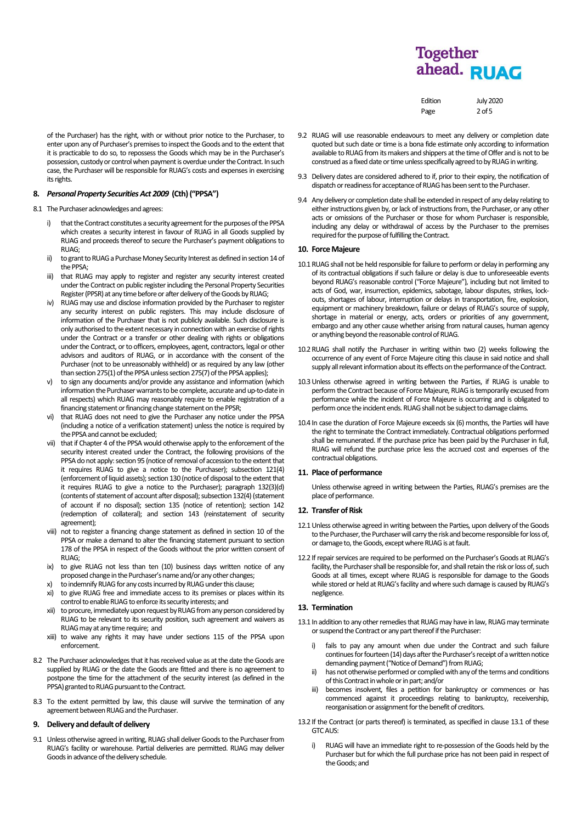Edition July 2020 Page 2 of 5

of the Purchaser) has the right, with or without prior notice to the Purchaser, to enter upon any of Purchaser's premises to inspect the Goods and to the extent that it is practicable to do so, to repossess the Goods which may be in the Purchaser's possession, custody or control when payment is overdue under the Contract. In such case, the Purchaser will be responsible for RUAG's costs and expenses in exercising its rights.

# **8.** *Personal Property Securities Act 2009* **(Cth) ("PPSA")**

8.1 The Purchaser acknowledges and agrees:

- i) that the Contract constitutes a security agreement for the purposes of the PPSA which creates a security interest in favour of RUAG in all Goods supplied by RUAG and proceeds thereof to secure the Purchaser's payment obligations to RUAG;
- ii) to grant to RUAG a Purchase Money Security Interest as defined in section 14 of the PPSA;
- iii) that RUAG may apply to register and register any security interest created under the Contract on public register including the Personal Property Securities Register (PPSR) at any time before or after delivery of the Goods by RUAG;
- iv) RUAG may use and disclose information provided by the Purchaser to register any security interest on public registers. This may include disclosure of information of the Purchaser that is not publicly available. Such disclosure is only authorised to the extent necessary in connection with an exercise of rights under the Contract or a transfer or other dealing with rights or obligations under the Contract, or to officers, employees, agent, contractors, legal or other advisors and auditors of RUAG, or in accordance with the consent of the Purchaser (not to be unreasonably withheld) or as required by any law (other than section 275(1) of the PPSA unless section 275(7) of the PPSA applies);
- to sign any documents and/or provide any assistance and information (which information the Purchaser warrants to be complete, accurate and up-to-date in all respects) which RUAG may reasonably require to enable registration of a financing statement or financing change statement on the PPSR;
- vi) that RUAG does not need to give the Purchaser any notice under the PPSA (including a notice of a verification statement) unless the notice is required by the PPSA and cannot be excluded;
- vii) that if Chapter 4 of the PPSA would otherwise apply to the enforcement of the security interest created under the Contract, the following provisions of the PPSA do not apply: section 95 (notice of removal of accession to the extent that it requires RUAG to give a notice to the Purchaser); subsection 121(4) (enforcement of liquid assets); section 130 (notice of disposal to the extent that it requires RUAG to give a notice to the Purchaser); paragraph 132(3)(d) (contents of statement of account after disposal); subsection 132(4) (statement of account if no disposal); section 135 (notice of retention); section 142 (redemption of collateral); and section 143 (reinstatement of security agreement);
- viii) not to register a financing change statement as defined in section 10 of the PPSA or make a demand to alter the financing statement pursuant to section 178 of the PPSA in respect of the Goods without the prior written consent of RUAG;
- ix) to give RUAG not less than ten (10) business days written notice of any proposed change in the Purchaser's name and/or any other changes;
- to indemnify RUAG for any costs incurred by RUAG under this clause;
- xi) to give RUAG free and immediate access to its premises or places within its control to enable RUAG to enforce its security interests; and
- xii) to procure, immediately upon request by RUAGfrom any person considered by RUAG to be relevant to its security position, such agreement and waivers as RUAG may at any time require; and
- xiii) to waive any rights it may have under sections 115 of the PPSA upon enforcement.
- 8.2 The Purchaser acknowledges that it has received value as at the date the Goods are supplied by RUAG or the date the Goods are fitted and there is no agreement to postpone the time for the attachment of the security interest (as defined in the PPSA) granted to RUAG pursuant to the Contract.
- 8.3 To the extent permitted by law, this clause will survive the termination of any agreement between RUAG and the Purchaser.

# **9. Delivery and default of delivery**

9.1 Unless otherwise agreed in writing, RUAG shall deliver Goods to the Purchaser from RUAG's facility or warehouse. Partial deliveries are permitted. RUAG may deliver Goods in advance of the delivery schedule.

- 9.2 RUAG will use reasonable endeavours to meet any delivery or completion date quoted but such date or time is a bona fide estimate only according to information available to RUAG from its makers and shippers at the time of Offer and is not to be construed as a fixed date or time unless specifically agreed to by RUAG in writing.
- 9.3 Delivery dates are considered adhered to if, prior to their expiry, the notification of dispatch or readiness for acceptance of RUAG has been sent to the Purchaser.
- 9.4 Any delivery or completion date shall be extended in respect of any delay relating to either instructions given by, or lack of instructions from, the Purchaser, or any other acts or omissions of the Purchaser or those for whom Purchaser is responsible, including any delay or withdrawal of access by the Purchaser to the premises required for the purpose of fulfilling the Contract.

## **10. Force Majeure**

- 10.1RUAG shall not be held responsible for failure to perform or delay in performing any of its contractual obligations if such failure or delay is due to unforeseeable events beyond RUAG's reasonable control ("Force Majeure"), including but not limited to acts of God, war, insurrection, epidemics, sabotage, labour disputes, strikes, lockouts, shortages of labour, interruption or delays in transportation, fire, explosion, equipment or machinery breakdown, failure or delays of RUAG's source of supply, shortage in material or energy, acts, orders or priorities of any government, embargo and any other cause whether arising from natural causes, human agency or anything beyond the reasonable control of RUAG.
- 10.2RUAG shall notify the Purchaser in writing within two (2) weeks following the occurrence of any event of Force Majeure citing this clause in said notice and shall supply all relevant information about its effects on the performance of the Contract.
- 10.3Unless otherwise agreed in writing between the Parties, if RUAG is unable to perform the Contract because of Force Majeure, RUAG is temporarily excused from performance while the incident of Force Majeure is occurring and is obligated to perform once the incident ends. RUAG shall not be subject to damage claims.
- 10.4 In case the duration of Force Majeure exceeds six (6) months, the Parties will have the right to terminate the Contract immediately. Contractual obligations performed shall be remunerated. If the purchase price has been paid by the Purchaser in full, RUAG will refund the purchase price less the accrued cost and expenses of the contractual obligations.

# **11. Place of performance**

Unless otherwise agreed in writing between the Parties, RUAG's premises are the place of performance.

# **12. Transfer of Risk**

- 12.1 Unless otherwise agreed in writing between the Parties, upon delivery of the Goods to the Purchaser, the Purchaser will carry the risk and become responsible for loss of, or damage to, the Goods, except where RUAG is at fault.
- 12.2 If repair services are required to be performed on the Purchaser's Goods at RUAG's facility, the Purchaser shall be responsible for, and shall retain the risk or loss of, such Goods at all times, except where RUAG is responsible for damage to the Goods while stored or held at RUAG's facility and where such damage is caused by RUAG's negligence.

## **13. Termination**

- <span id="page-1-0"></span>13.1 In addition to any other remedies that RUAG may have in law, RUAG may terminate or suspend the Contract or any part thereof if the Purchaser:
	- i) fails to pay any amount when due under the Contract and such failure continues for fourteen (14) days after the Purchaser's receipt of a written notice demanding payment ("Notice of Demand") from RUAG;
	- ii) has not otherwise performed or complied with any of the terms and conditions of this Contract in whole or in part; and/or
	- iii) becomes insolvent, files a petition for bankruptcy or commences or has commenced against it proceedings relating to bankruptcy, receivership, reorganisation or assignment for the benefit of creditors.
- 13.2 If the Contract (or parts thereof) is terminated, as specified in claus[e 13.1](#page-1-0) of these GTC AUS:
	- RUAG will have an immediate right to re-possession of the Goods held by the Purchaser but for which the full purchase price has not been paid in respect of the Goods; and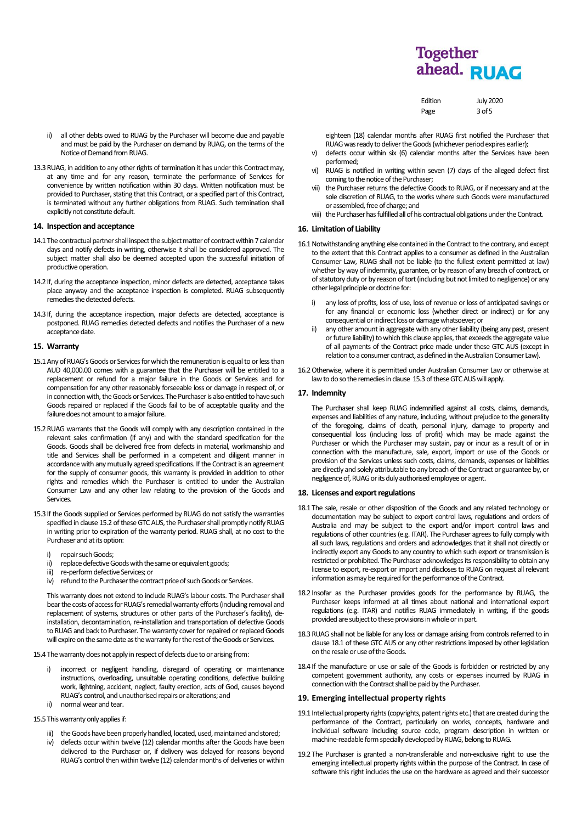| Edition | <b>July 2020</b> |
|---------|------------------|
| Page    | $3$ of 5         |

ii) all other debts owed to RUAG by the Purchaser will become due and payable and must be paid by the Purchaser on demand by RUAG, on the terms of the Notice of Demand from RUAG.

13.3 RUAG, in addition to any other rights of termination it has under this Contract may, at any time and for any reason, terminate the performance of Services for convenience by written notification within 30 days. Written notification must be provided to Purchaser, stating that this Contract, or a specified part of this Contract, is terminated without any further obligations from RUAG. Such termination shall explicitly not constitute default.

# **14. Inspection and acceptance**

- 14.1 The contractual partner shall inspect the subject matter of contract within 7 calendar days and notify defects in writing, otherwise it shall be considered approved. The subject matter shall also be deemed accepted upon the successful initiation of productive operation.
- 14.2 If, during the acceptance inspection, minor defects are detected, acceptance takes place anyway and the acceptance inspection is completed. RUAG subsequently remedies the detected defects.
- 14.3 If, during the acceptance inspection, major defects are detected, acceptance is postponed. RUAG remedies detected defects and notifies the Purchaser of a new acceptance date.

# **15. Warranty**

- 15.1Any of RUAG's Goods or Services for which the remuneration is equal to or less than AUD 40,000.00 comes with a guarantee that the Purchaser will be entitled to a replacement or refund for a major failure in the Goods or Services and for compensation for any other reasonably forseeable loss or damage in respect of, or in connection with, the Goods or Services. The Purchaser is also entitled to have such Goods repaired or replaced if the Goods fail to be of acceptable quality and the failure does not amount to a major failure.
- 15.2RUAG warrants that the Goods will comply with any description contained in the relevant sales confirmation (if any) and with the standard specification for the Goods. Goods shall be delivered free from defects in material, workmanship and title and Services shall be performed in a competent and diligent manner in accordance with any mutually agreed specifications. If the Contract is an agreement for the supply of consumer goods, this warranty is provided in addition to other rights and remedies which the Purchaser is entitled to under the Australian Consumer Law and any other law relating to the provision of the Goods and Services.
- <span id="page-2-0"></span>15.3 If the Goods supplied or Services performed by RUAG do not satisfy the warranties specified in clause 15.2 of these GTC AUS, the Purchaser shall promptly notify RUAG in writing prior to expiration of the warranty period. RUAG shall, at no cost to the Purchaser and at its option:
	- i) repair such Goods:
	- ii) replace defective Goods with the same or equivalent goods;
	- iii) re-perform defective Services; or<br>iv) refund to the Purchaser the cont
	- refund to the Purchaser the contract price of such Goods or Services.

This warranty does not extend to include RUAG's labour costs. The Purchaser shall bear the costs of access for RUAG's remedial warranty efforts (including removal and replacement of systems, structures or other parts of the Purchaser's facility), deinstallation, decontamination, re-installation and transportation of defective Goods to RUAG and back to Purchaser. The warranty cover for repaired or replaced Goods will expire on the same date as the warranty for the rest of the Goods or Services.

15.4 The warranty does not apply in respect of defects due to or arising from:

- i) incorrect or negligent handling, disregard of operating or maintenance instructions, overloading, unsuitable operating conditions, defective building work, lightning, accident, neglect, faulty erection, acts of God, causes beyond RUAG's control, and unauthorised repairs or alterations; and
- ii) normal wear and tear.
- 15.5 This warranty only applies if:
	- iii) the Goods have been properly handled, located, used, maintained and stored;
	- iv) defects occur within twelve (12) calendar months after the Goods have been delivered to the Purchaser or, if delivery was delayed for reasons beyond RUAG's control then within twelve (12) calendar months of deliveries or within

eighteen (18) calendar months after RUAG first notified the Purchaser that RUAG was ready to deliver the Goods (whichever period expires earlier);

- v) defects occur within six (6) calendar months after the Services have been performed;
- vi) RUAG is notified in writing within seven (7) days of the alleged defect first coming to the notice of the Purchaser;
- vii) the Purchaser returns the defective Goods to RUAG, or if necessary and at the sole discretion of RUAG, to the works where such Goods were manufactured or assembled, free of charge; and
- viii) the Purchaser has fulfilled all of his contractual obligations under the Contract.

# **16. Limitation of Liability**

- 16.1 Notwithstanding anything else contained in the Contract to the contrary, and except to the extent that this Contract applies to a consumer as defined in the Australian Consumer Law, RUAG shall not be liable (to the fullest extent permitted at law) whether by way of indemnity, guarantee, or by reason of any breach of contract, or of statutory duty or by reason of tort (including but not limited to negligence) or any other legal principle or doctrine for:
	- i) any loss of profits, loss of use, loss of revenue or loss of anticipated savings or for any financial or economic loss (whether direct or indirect) or for any consequential or indirect loss or damage whatsoever; or
	- any other amount in aggregate with any other liability (being any past, present or future liability) to which this clause applies, that exceeds the aggregate value of all payments of the Contract price made under these GTC AUS (except in relation to a consumer contract, as defined in the Australian Consumer Law).
- 16.2Otherwise, where it is permitted under Australian Consumer Law or otherwise at law to do so the remedies in clause [15.3](#page-2-0) of these GTC AUS will apply.

# **17. Indemnity**

The Purchaser shall keep RUAG indemnified against all costs, claims, demands, expenses and liabilities of any nature, including, without prejudice to the generality of the foregoing, claims of death, personal injury, damage to property and consequential loss (including loss of profit) which may be made against the Purchaser or which the Purchaser may sustain, pay or incur as a result of or in connection with the manufacture, sale, export, import or use of the Goods or provision of the Services unless such costs, claims, demands, expenses or liabilities are directly and solely attributable to any breach of the Contract or guarantee by, or negligence of, RUAG or its duly authorised employee or agent.

# **18. Licenses and export regulations**

- 18.1 The sale, resale or other disposition of the Goods and any related technology or documentation may be subject to export control laws, regulations and orders of Australia and may be subject to the export and/or import control laws and regulations of other countries(e.g. ITAR). The Purchaser agrees to fully comply with all such laws, regulations and orders and acknowledges that it shall not directly or indirectly export any Goods to any country to which such export or transmission is restricted or prohibited. The Purchaser acknowledges itsresponsibility to obtain any license to export, re-export or import and discloses to RUAG on request all relevant information as may be required for the performance of the Contract.
- 18.2 Insofar as the Purchaser provides goods for the performance by RUAG, the Purchaser keeps informed at all times about national and international export regulations (e.g. ITAR) and notifies RUAG immediately in writing, if the goods provided are subject to these provisions in whole or in part.
- 18.3RUAG shall not be liable for any loss or damage arising from controls referred to in clause 18.1 of these GTC AUS or any other restrictions imposed by other legislation on the resale or use of the Goods.
- 18.4 If the manufacture or use or sale of the Goods is forbidden or restricted by any competent government authority, any costs or expenses incurred by RUAG in connection with the Contract shall be paid by the Purchaser.

## **19. Emerging intellectual property rights**

- 19.1 Intellectual property rights (copyrights, patent rights etc.) that are created during the performance of the Contract, particularly on works, concepts, hardware and individual software including source code, program description in written or machine-readable form specially developed by RUAG, belong to RUAG.
- 19.2 The Purchaser is granted a non-transferable and non-exclusive right to use the emerging intellectual property rights within the purpose of the Contract. In case of software this right includes the use on the hardware as agreed and their successor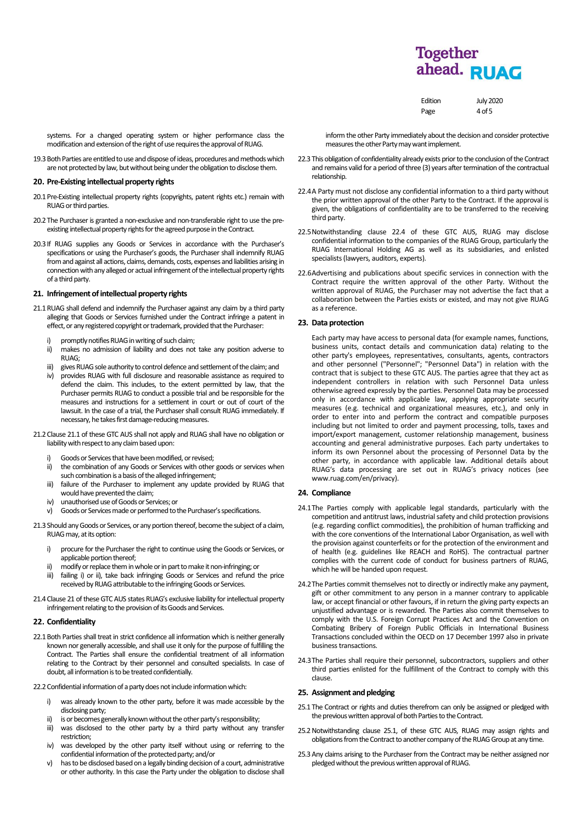| Edition | <b>July 2020</b> |
|---------|------------------|
| Page    | 4 of 5           |

systems. For a changed operating system or higher performance class the modification and extension of the right of use requires the approval of RUAG.

19.3Both Parties are entitled to use and dispose of ideas, procedures and methods which are not protected by law, but without being under the obligation to disclose them.

# **20. Pre-Existing intellectual property rights**

- 20.1 Pre-Existing intellectual property rights (copyrights, patent rights etc.) remain with RUAG or third parties.
- 20.2 The Purchaser is granted a non-exclusive and non-transferable right to use the preexisting intellectual property rights for the agreed purpose in the Contract.
- 20.3 If RUAG supplies any Goods or Services in accordance with the Purchaser's specifications or using the Purchaser's goods, the Purchaser shall indemnify RUAG from and against all actions, claims, demands, costs, expenses and liabilities arising in connection with any alleged or actual infringement of the intellectual property rights of a third party.

# **21. Infringement of intellectual property rights**

- 21.1RUAG shall defend and indemnify the Purchaser against any claim by a third party alleging that Goods or Services furnished under the Contract infringe a patent in effect, or any registered copyright or trademark, provided that the Purchaser:
	- i) promptly notifies RUAG in writing of such claim:
	- ii) makes no admission of liability and does not take any position adverse to RUAG;
	- iii) gives RUAG sole authority to control defence and settlement of the claim; and
	- iv) provides RUAG with full disclosure and reasonable assistance as required to defend the claim. This includes, to the extent permitted by law, that the Purchaser permits RUAG to conduct a possible trial and be responsible for the measures and instructions for a settlement in court or out of court of the lawsuit. In the case of a trial, the Purchaser shall consult RUAG immediately. If necessary, he takes first damage-reducing measures.
- 21.2 Clause 21.1 of these GTC AUS shall not apply and RUAG shall have no obligation or liability with respect to any claim based upon:
	- Goods or Services that have been modified, or revised;
	- ii) the combination of any Goods or Services with other goods or services when such combination is a basis of the alleged infringement;
	- iii) failure of the Purchaser to implement any update provided by RUAG that would have prevented the claim;
	- iv) unauthorised use of Goods or Services; or
	- v) Goods or Services made or performed to the Purchaser's specifications.
- 21.3 Should any Goods or Services, or any portion thereof, become the subject of a claim, RUAG may, at its option:
	- i) procure for the Purchaser the right to continue using the Goods or Services, or applicable portion thereof;
	- ii) modify or replace them in whole or in part to make it non-infringing; or
	- failing i) or ii), take back infringing Goods or Services and refund the price received by RUAG attributable to the infringing Goods or Services.
- 21.4 Clause 21 of these GTC AUS states RUAG's exclusive liability for intellectual property infringement relating to the provision of its Goods and Services.

### **22. Confidentiality**

22.1 Both Parties shall treat in strict confidence all information which is neither generally known nor generally accessible, and shall use it only for the purpose of fulfilling the Contract. The Parties shall ensure the confidential treatment of all information relating to the Contract by their personnel and consulted specialists. In case of doubt, all information is to be treated confidentially.

22.2 Confidential information of a party does not include information which:

- i) was already known to the other party, before it was made accessible by the disclosing party;
- ii) is or becomes generally known without the other party's responsibility;
- iii) was disclosed to the other party by a third party without any transfer restriction;
- iv) was developed by the other party itself without using or referring to the confidential information of the protected party; and/or
- v) has to be disclosed based on a legally binding decision of a court, administrative or other authority. In this case the Party under the obligation to disclose shall

inform the other Party immediately about the decision and consider protective measures the other Party may want implement.

- 22.3 This obligation of confidentiality already exists prior to the conclusion of the Contract and remains valid for a period of three (3) years after termination of the contractual relationship.
- 22.4A Party must not disclose any confidential information to a third party without the prior written approval of the other Party to the Contract. If the approval is given, the obligations of confidentiality are to be transferred to the receiving third party.
- 22.5Notwithstanding clause 22.4 of these GTC AUS, RUAG may disclose confidential information to the companies of the RUAG Group, particularly the RUAG International Holding AG as well as its subsidiaries, and enlisted specialists (lawyers, auditors, experts).
- 22.6Advertising and publications about specific services in connection with the Contract require the written approval of the other Party. Without the written approval of RUAG, the Purchaser may not advertise the fact that a collaboration between the Parties exists or existed, and may not give RUAG as a reference.

#### **23. Data protection**

Each party may have access to personal data (for example names, functions, business units, contact details and communication data) relating to the other party's employees, representatives, consultants, agents, contractors and other personnel ("Personnel"; "Personnel Data") in relation with the contract that is subject to these GTC AUS. The parties agree that they act as independent controllers in relation with such Personnel Data unless otherwise agreed expressly by the parties. Personnel Data may be processed only in accordance with applicable law, applying appropriate security measures (e.g. technical and organizational measures, etc.), and only in order to enter into and perform the contract and compatible purposes including but not limited to order and payment processing, tolls, taxes and import/export management, customer relationship management, business accounting and general administrative purposes. Each party undertakes to inform its own Personnel about the processing of Personnel Data by the other party, in accordance with applicable law. Additional details about RUAG's data processing are set out in RUAG's privacy notices (see www.ruag.com/en/privacy).

### **24. Compliance**

- 24.1The Parties comply with applicable legal standards, particularly with the competition and antitrust laws, industrial safety and child protection provisions (e.g. regarding conflict commodities), the prohibition of human trafficking and with the core conventions of the International Labor Organisation, as well with the provision against counterfeits or for the protection of the environment and of health (e.g. guidelines like REACH and RoHS). The contractual partner complies with the current code of conduct for business partners of RUAG, which he will be handed upon request.
- 24.2The Parties commit themselves not to directly or indirectly make any payment, gift or other commitment to any person in a manner contrary to applicable law, or accept financial or other favours, if in return the giving party expects an unjustified advantage or is rewarded. The Parties also commit themselves to comply with the U.S. Foreign Corrupt Practices Act and the Convention on Combating Bribery of Foreign Public Officials in International Business Transactions concluded within the OECD on 17 December 1997 also in private business transactions.
- 24.3The Parties shall require their personnel, subcontractors, suppliers and other third parties enlisted for the fulfillment of the Contract to comply with this clause.

#### **25. Assignment and pledging**

- 25.1 The Contract or rights and duties therefrom can only be assigned or pledged with the previous written approval of both Parties to the Contract.
- 25.2Notwithstanding clause 25.1, of these GTC AUS, RUAG may assign rights and obligations from the Contract to another company of the RUAG Group at any time.
- 25.3Any claims arising to the Purchaser from the Contract may be neither assigned nor pledged without the previous written approval of RUAG.